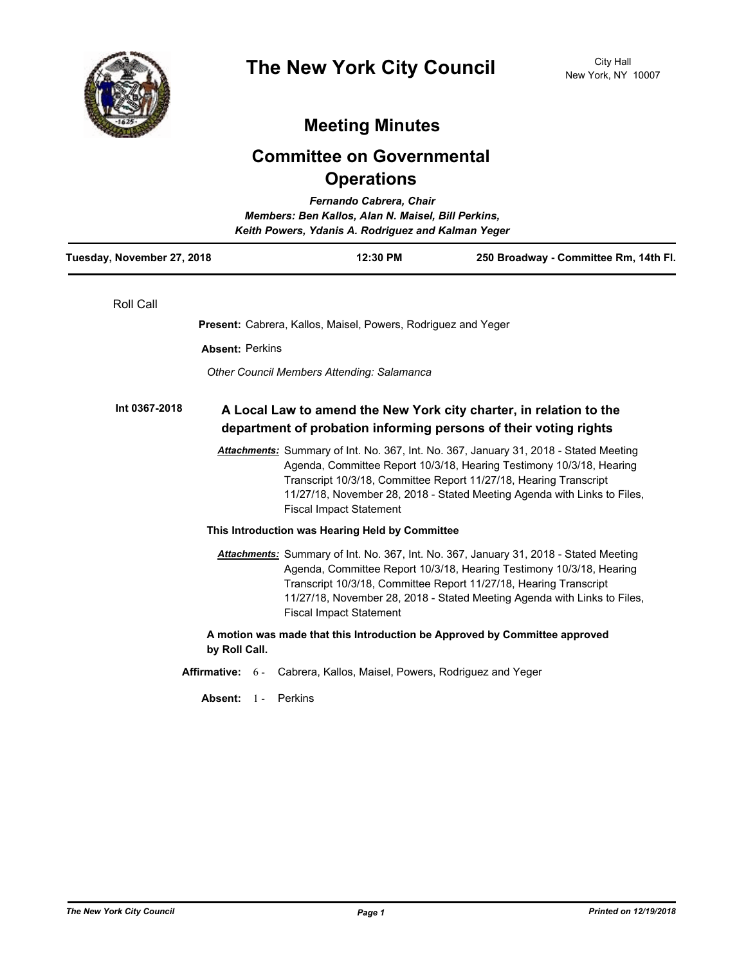

# **Meeting Minutes**

# **Committee on Governmental Operations**

| Fernando Cabrera, Chair<br>Members: Ben Kallos, Alan N. Maisel, Bill Perkins,<br>Keith Powers, Ydanis A. Rodriguez and Kalman Yeger |                                                                      |          |                                                                                                                                                                                                                                                                                                                |  |
|-------------------------------------------------------------------------------------------------------------------------------------|----------------------------------------------------------------------|----------|----------------------------------------------------------------------------------------------------------------------------------------------------------------------------------------------------------------------------------------------------------------------------------------------------------------|--|
| Tuesday, November 27, 2018                                                                                                          |                                                                      | 12:30 PM | 250 Broadway - Committee Rm, 14th Fl.                                                                                                                                                                                                                                                                          |  |
| <b>Roll Call</b>                                                                                                                    |                                                                      |          |                                                                                                                                                                                                                                                                                                                |  |
|                                                                                                                                     | <b>Present:</b> Cabrera, Kallos, Maisel, Powers, Rodriguez and Yeger |          |                                                                                                                                                                                                                                                                                                                |  |
| <b>Absent: Perkins</b>                                                                                                              |                                                                      |          |                                                                                                                                                                                                                                                                                                                |  |
|                                                                                                                                     | Other Council Members Attending: Salamanca                           |          |                                                                                                                                                                                                                                                                                                                |  |
| Int 0367-2018                                                                                                                       |                                                                      |          | A Local Law to amend the New York city charter, in relation to the<br>department of probation informing persons of their voting rights                                                                                                                                                                         |  |
|                                                                                                                                     | <b>Fiscal Impact Statement</b>                                       |          | Attachments: Summary of Int. No. 367, Int. No. 367, January 31, 2018 - Stated Meeting<br>Agenda, Committee Report 10/3/18, Hearing Testimony 10/3/18, Hearing<br>Transcript 10/3/18, Committee Report 11/27/18, Hearing Transcript<br>11/27/18, November 28, 2018 - Stated Meeting Agenda with Links to Files, |  |
|                                                                                                                                     | This Introduction was Hearing Held by Committee                      |          |                                                                                                                                                                                                                                                                                                                |  |
|                                                                                                                                     | <b>Fiscal Impact Statement</b>                                       |          | Attachments: Summary of Int. No. 367, Int. No. 367, January 31, 2018 - Stated Meeting<br>Agenda, Committee Report 10/3/18, Hearing Testimony 10/3/18, Hearing<br>Transcript 10/3/18, Committee Report 11/27/18, Hearing Transcript<br>11/27/18, November 28, 2018 - Stated Meeting Agenda with Links to Files, |  |
| by Roll Call.                                                                                                                       |                                                                      |          | A motion was made that this Introduction be Approved by Committee approved                                                                                                                                                                                                                                     |  |
| <b>Affirmative:</b>                                                                                                                 | $6 -$                                                                |          | Cabrera, Kallos, Maisel, Powers, Rodriguez and Yeger                                                                                                                                                                                                                                                           |  |
| Absent:                                                                                                                             | Perkins<br>$1 -$                                                     |          |                                                                                                                                                                                                                                                                                                                |  |